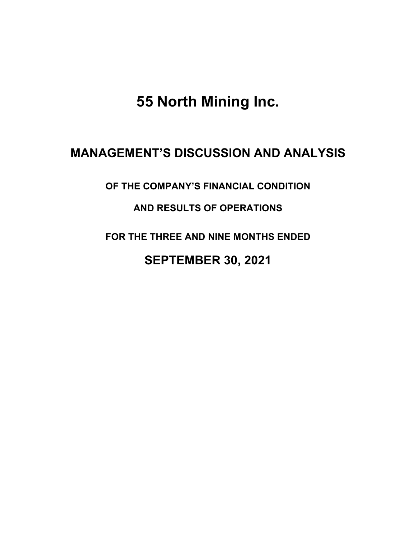**55 North Mining Inc.**

# **MANAGEMENT'S DISCUSSION AND ANALYSIS**

**OF THE COMPANY'S FINANCIAL CONDITION** 

# **AND RESULTS OF OPERATIONS**

**FOR THE THREE AND NINE MONTHS ENDED**

# **SEPTEMBER 30, 2021**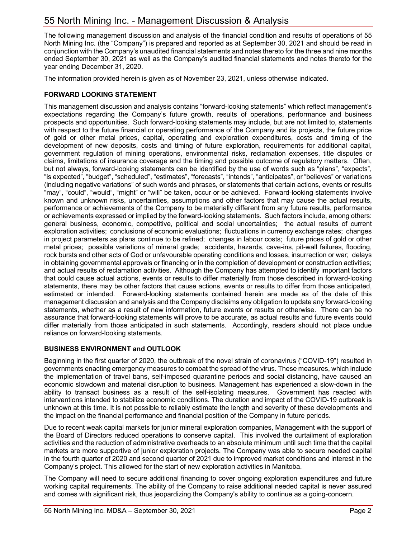The following management discussion and analysis of the financial condition and results of operations of 55 North Mining Inc. (the "Company") is prepared and reported as at September 30, 2021 and should be read in conjunction with the Company's unaudited financial statements and notes thereto for the three and nine months ended September 30, 2021 as well as the Company's audited financial statements and notes thereto for the year ending December 31, 2020.

The information provided herein is given as of November 23, 2021, unless otherwise indicated.

# **FORWARD LOOKING STATEMENT**

This management discussion and analysis contains "forward-looking statements" which reflect management's expectations regarding the Company's future growth, results of operations, performance and business prospects and opportunities. Such forward-looking statements may include, but are not limited to, statements with respect to the future financial or operating performance of the Company and its projects, the future price of gold or other metal prices, capital, operating and exploration expenditures, costs and timing of the development of new deposits, costs and timing of future exploration, requirements for additional capital, government regulation of mining operations, environmental risks, reclamation expenses, title disputes or claims, limitations of insurance coverage and the timing and possible outcome of regulatory matters. Often, but not always, forward-looking statements can be identified by the use of words such as "plans", "expects", "is expected", "budget", "scheduled", "estimates", "forecasts", "intends", "anticipates", or "believes" or variations (including negative variations" of such words and phrases, or statements that certain actions, events or results "may", "could", "would", "might" or "will" be taken, occur or be achieved. Forward-looking statements involve known and unknown risks, uncertainties, assumptions and other factors that may cause the actual results, performance or achievements of the Company to be materially different from any future results, performance or achievements expressed or implied by the forward-looking statements. Such factors include, among others: general business, economic, competitive, political and social uncertainties; the actual results of current exploration activities; conclusions of economic evaluations; fluctuations in currency exchange rates; changes in project parameters as plans continue to be refined; changes in labour costs; future prices of gold or other metal prices; possible variations of mineral grade; accidents, hazards, cave-ins, pit-wall failures, flooding, rock bursts and other acts of God or unfavourable operating conditions and losses, insurrection or war; delays in obtaining governmental approvals or financing or in the completion of development or construction activities; and actual results of reclamation activities. Although the Company has attempted to identify important factors that could cause actual actions, events or results to differ materially from those described in forward-looking statements, there may be other factors that cause actions, events or results to differ from those anticipated, estimated or intended. Forward-looking statements contained herein are made as of the date of this management discussion and analysis and the Company disclaims any obligation to update any forward-looking statements, whether as a result of new information, future events or results or otherwise. There can be no assurance that forward-looking statements will prove to be accurate, as actual results and future events could differ materially from those anticipated in such statements. Accordingly, readers should not place undue reliance on forward-looking statements.

# **BUSINESS ENVIRONMENT and OUTLOOK**

Beginning in the first quarter of 2020, the outbreak of the novel strain of coronavirus ("COVID-19") resulted in governments enacting emergency measures to combat the spread of the virus. These measures, which include the implementation of travel bans, self-imposed quarantine periods and social distancing, have caused an economic slowdown and material disruption to business. Management has experienced a slow-down in the ability to transact business as a result of the self-isolating measures. Government has reacted with interventions intended to stabilize economic conditions. The duration and impact of the COVID-19 outbreak is unknown at this time. It is not possible to reliably estimate the length and severity of these developments and the impact on the financial performance and financial position of the Company in future periods.

Due to recent weak capital markets for junior mineral exploration companies, Management with the support of the Board of Directors reduced operations to conserve capital. This involved the curtailment of exploration activities and the reduction of administrative overheads to an absolute minimum until such time that the capital markets are more supportive of junior exploration projects. The Company was able to secure needed capital in the fourth quarter of 2020 and second quarter of 2021 due to improved market conditions and interest in the Company's project. This allowed for the start of new exploration activities in Manitoba.

The Company will need to secure additional financing to cover ongoing exploration expenditures and future working capital requirements. The ability of the Company to raise additional needed capital is never assured and comes with significant risk, thus jeopardizing the Company's ability to continue as a going-concern.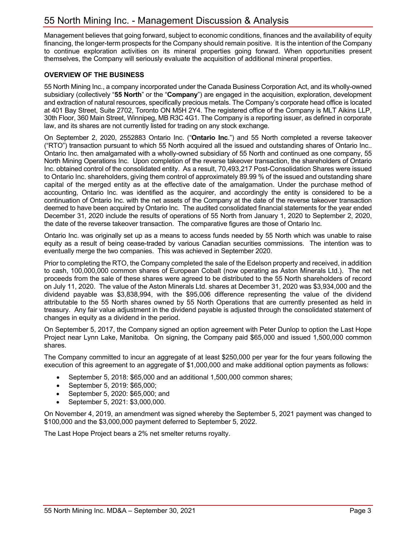Management believes that going forward, subject to economic conditions, finances and the availability of equity financing, the longer-term prospects for the Company should remain positive. It is the intention of the Company to continue exploration activities on its mineral properties going forward. When opportunities present themselves, the Company will seriously evaluate the acquisition of additional mineral properties.

# **OVERVIEW OF THE BUSINESS**

55 North Mining Inc., a company incorporated under the Canada Business Corporation Act, and its wholly-owned subsidiary (collectively "**55 North**" or the "**Company**") are engaged in the acquisition, exploration, development and extraction of natural resources, specifically precious metals. The Company's corporate head office is located at 401 Bay Street, Suite 2702, Toronto ON M5H 2Y4. The registered office of the Company is MLT Aikins LLP, 30th Floor, 360 Main Street, Winnipeg, MB R3C 4G1. The Company is a reporting issuer, as defined in corporate law, and its shares are not currently listed for trading on any stock exchange.

On September 2, 2020, 2552883 Ontario Inc. ("**Ontario Inc**.") and 55 North completed a reverse takeover ("RTO") transaction pursuant to which 55 North acquired all the issued and outstanding shares of Ontario Inc.. Ontario Inc. then amalgamated with a wholly-owned subsidiary of 55 North and continued as one company, 55 North Mining Operations Inc. Upon completion of the reverse takeover transaction, the shareholders of Ontario Inc. obtained control of the consolidated entity. As a result, 70,493,217 Post-Consolidation Shares were issued to Ontario Inc. shareholders, giving them control of approximately 89.99 % of the issued and outstanding share capital of the merged entity as at the effective date of the amalgamation. Under the purchase method of accounting, Ontario Inc. was identified as the acquirer, and accordingly the entity is considered to be a continuation of Ontario Inc. with the net assets of the Company at the date of the reverse takeover transaction deemed to have been acquired by Ontario Inc. The audited consolidated financial statements for the year ended December 31, 2020 include the results of operations of 55 North from January 1, 2020 to September 2, 2020, the date of the reverse takeover transaction. The comparative figures are those of Ontario Inc.

Ontario Inc. was originally set up as a means to access funds needed by 55 North which was unable to raise equity as a result of being cease-traded by various Canadian securities commissions. The intention was to eventually merge the two companies. This was achieved in September 2020.

Prior to completing the RTO, the Company completed the sale of the Edelson property and received, in addition to cash, 100,000,000 common shares of European Cobalt (now operating as Aston Minerals Ltd.). The net proceeds from the sale of these shares were agreed to be distributed to the 55 North shareholders of record on July 11, 2020. The value of the Aston Minerals Ltd. shares at December 31, 2020 was \$3,934,000 and the dividend payable was \$3,838,994, with the \$95,006 difference representing the value of the dividend attributable to the 55 North shares owned by 55 North Operations that are currently presented as held in treasury. Any fair value adjustment in the dividend payable is adjusted through the consolidated statement of changes in equity as a dividend in the period.

On September 5, 2017, the Company signed an option agreement with Peter Dunlop to option the Last Hope Project near Lynn Lake, Manitoba. On signing, the Company paid \$65,000 and issued 1,500,000 common shares.

The Company committed to incur an aggregate of at least \$250,000 per year for the four years following the execution of this agreement to an aggregate of \$1,000,000 and make additional option payments as follows:

- September 5, 2018: \$65,000 and an additional 1,500,000 common shares;
- September 5, 2019: \$65,000;
- September 5, 2020: \$65,000; and
- September 5, 2021: \$3,000,000.

On November 4, 2019, an amendment was signed whereby the September 5, 2021 payment was changed to \$100,000 and the \$3,000,000 payment deferred to September 5, 2022.

The Last Hope Project bears a 2% net smelter returns royalty.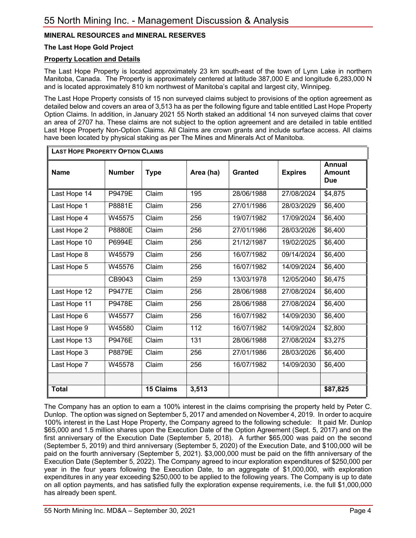# **MINERAL RESOURCES and MINERAL RESERVES**

### **The Last Hope Gold Project**

### **Property Location and Details**

The Last Hope Property is located approximately 23 km south-east of the town of Lynn Lake in northern Manitoba, Canada. The Property is approximately centered at latitude 387,000 E and longitude 6,283,000 N and is located approximately 810 km northwest of Manitoba's capital and largest city, Winnipeg.

The Last Hope Property consists of 15 non surveyed claims subject to provisions of the option agreement as detailed below and covers an area of 3,513 ha as per the following figure and table entitled Last Hope Property Option Claims. In addition, in January 2021 55 North staked an additional 14 non surveyed claims that cover an area of 2707 ha. These claims are not subject to the option agreement and are detailed in table entitled Last Hope Property Non-Option Claims. All Claims are crown grants and include surface access. All claims have been located by physical staking as per The Mines and Minerals Act of Manitoba.

| <b>LAST HOPE PROPERTY OPTION CLAIMS</b> |               |                  |                  |                |                |                                              |
|-----------------------------------------|---------------|------------------|------------------|----------------|----------------|----------------------------------------------|
| <b>Name</b>                             | <b>Number</b> | <b>Type</b>      | Area (ha)        | <b>Granted</b> | <b>Expires</b> | <b>Annual</b><br><b>Amount</b><br><b>Due</b> |
| Last Hope 14                            | <b>P9479E</b> | Claim            | 195              | 28/06/1988     | 27/08/2024     | \$4,875                                      |
| Last Hope 1                             | P8881E        | Claim            | 256              | 27/01/1986     | 28/03/2029     | \$6,400                                      |
| Last Hope 4                             | W45575        | Claim            | 256              | 19/07/1982     | 17/09/2024     | \$6,400                                      |
| Last Hope 2                             | P8880E        | Claim            | 256              | 27/01/1986     | 28/03/2026     | \$6,400                                      |
| Last Hope 10                            | P6994E        | Claim            | 256              | 21/12/1987     | 19/02/2025     | \$6,400                                      |
| Last Hope 8                             | W45579        | Claim            | 256              | 16/07/1982     | 09/14/2024     | \$6,400                                      |
| Last Hope 5                             | W45576        | Claim            | 256              | 16/07/1982     | 14/09/2024     | \$6,400                                      |
|                                         | CB9043        | Claim            | 259              | 13/03/1978     | 12/05/2040     | \$6,475                                      |
| Last Hope 12                            | <b>P9477E</b> | Claim            | 256              | 28/06/1988     | 27/08/2024     | \$6,400                                      |
| Last Hope 11                            | <b>P9478E</b> | Claim            | 256              | 28/06/1988     | 27/08/2024     | \$6,400                                      |
| Last Hope 6                             | W45577        | Claim            | 256              | 16/07/1982     | 14/09/2030     | \$6,400                                      |
| Last Hope 9                             | W45580        | Claim            | $\overline{112}$ | 16/07/1982     | 14/09/2024     | \$2,800                                      |
| Last Hope 13                            | <b>P9476E</b> | Claim            | $\overline{131}$ | 28/06/1988     | 27/08/2024     | \$3,275                                      |
| Last Hope 3                             | P8879E        | Claim            | 256              | 27/01/1986     | 28/03/2026     | \$6,400                                      |
| Last Hope 7                             | W45578        | Claim            | 256              | 16/07/1982     | 14/09/2030     | \$6,400                                      |
|                                         |               |                  |                  |                |                |                                              |
| <b>Total</b>                            |               | <b>15 Claims</b> | 3,513            |                |                | \$87,825                                     |

The Company has an option to earn a 100% interest in the claims comprising the property held by Peter C. Dunlop. The option was signed on September 5, 2017 and amended on November 4, 2019. In order to acquire 100% interest in the Last Hope Property, the Company agreed to the following schedule: It paid Mr. Dunlop \$65,000 and 1.5 million shares upon the Execution Date of the Option Agreement (Sept. 5, 2017) and on the first anniversary of the Execution Date (September 5, 2018). A further \$65,000 was paid on the second (September 5, 2019) and third anniversary (September 5, 2020) of the Execution Date, and \$100,000 will be paid on the fourth anniversary (September 5, 2021). \$3,000,000 must be paid on the fifth anniversary of the Execution Date (September 5, 2022). The Company agreed to incur exploration expenditures of \$250,000 per year in the four years following the Execution Date, to an aggregate of \$1,000,000, with exploration expenditures in any year exceeding \$250,000 to be applied to the following years. The Company is up to date on all option payments, and has satisfied fully the exploration expense requirements, i.e. the full \$1,000,000 has already been spent.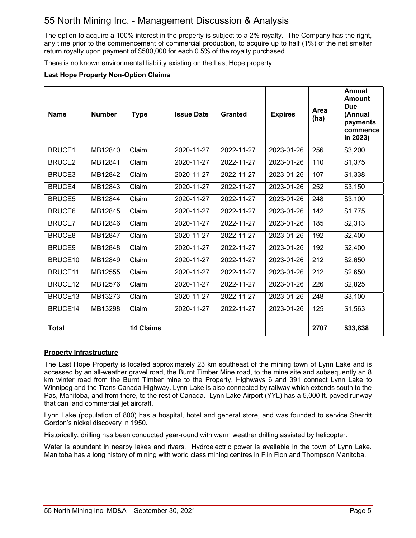The option to acquire a 100% interest in the property is subject to a 2% royalty. The Company has the right, any time prior to the commencement of commercial production, to acquire up to half (1%) of the net smelter return royalty upon payment of \$500,000 for each 0.5% of the royalty purchased.

There is no known environmental liability existing on the Last Hope property.

#### **Last Hope Property Non-Option Claims**

| <b>Name</b>   | <b>Number</b> | <b>Type</b>      | <b>Issue Date</b> | <b>Granted</b> | <b>Expires</b> | Area<br>(ha) | Annual<br><b>Amount</b><br><b>Due</b><br>(Annual<br>payments<br>commence<br>in 2023) |
|---------------|---------------|------------------|-------------------|----------------|----------------|--------------|--------------------------------------------------------------------------------------|
| <b>BRUCE1</b> | MB12840       | Claim            | 2020-11-27        | 2022-11-27     | 2023-01-26     | 256          | \$3,200                                                                              |
| <b>BRUCE2</b> | MB12841       | Claim            | 2020-11-27        | 2022-11-27     | 2023-01-26     | 110          | \$1,375                                                                              |
| <b>BRUCE3</b> | MB12842       | Claim            | 2020-11-27        | 2022-11-27     | 2023-01-26     | 107          | \$1,338                                                                              |
| <b>BRUCE4</b> | MB12843       | Claim            | 2020-11-27        | 2022-11-27     | 2023-01-26     | 252          | \$3,150                                                                              |
| <b>BRUCE5</b> | MB12844       | Claim            | 2020-11-27        | 2022-11-27     | 2023-01-26     | 248          | \$3,100                                                                              |
| <b>BRUCE6</b> | MB12845       | Claim            | 2020-11-27        | 2022-11-27     | 2023-01-26     | 142          | \$1,775                                                                              |
| <b>BRUCE7</b> | MB12846       | Claim            | 2020-11-27        | 2022-11-27     | 2023-01-26     | 185          | \$2,313                                                                              |
| <b>BRUCE8</b> | MB12847       | Claim            | 2020-11-27        | 2022-11-27     | 2023-01-26     | 192          | \$2,400                                                                              |
| <b>BRUCE9</b> | MB12848       | Claim            | 2020-11-27        | 2022-11-27     | 2023-01-26     | 192          | \$2,400                                                                              |
| BRUCE10       | MB12849       | Claim            | 2020-11-27        | 2022-11-27     | 2023-01-26     | 212          | \$2,650                                                                              |
| BRUCE11       | MB12555       | Claim            | 2020-11-27        | 2022-11-27     | 2023-01-26     | 212          | \$2,650                                                                              |
| BRUCE12       | MB12576       | Claim            | 2020-11-27        | 2022-11-27     | 2023-01-26     | 226          | \$2,825                                                                              |
| BRUCE13       | MB13273       | Claim            | 2020-11-27        | 2022-11-27     | 2023-01-26     | 248          | \$3,100                                                                              |
| BRUCE14       | MB13298       | Claim            | 2020-11-27        | 2022-11-27     | 2023-01-26     | 125          | \$1,563                                                                              |
| <b>Total</b>  |               | <b>14 Claims</b> |                   |                |                | 2707         | \$33,838                                                                             |
|               |               |                  |                   |                |                |              |                                                                                      |

#### **Property Infrastructure**

The Last Hope Property is located approximately 23 km southeast of the mining town of Lynn Lake and is accessed by an all-weather gravel road, the Burnt Timber Mine road, to the mine site and subsequently an 8 km winter road from the Burnt Timber mine to the Property. Highways 6 and 391 connect Lynn Lake to Winnipeg and the Trans Canada Highway. Lynn Lake is also connected by railway which extends south to the Pas, Manitoba, and from there, to the rest of Canada. Lynn Lake Airport (YYL) has a 5,000 ft. paved runway that can land commercial jet aircraft.

Lynn Lake (population of 800) has a hospital, hotel and general store, and was founded to service Sherritt Gordon's nickel discovery in 1950.

Historically, drilling has been conducted year-round with warm weather drilling assisted by helicopter.

Water is abundant in nearby lakes and rivers. Hydroelectric power is available in the town of Lynn Lake. Manitoba has a long history of mining with world class mining centres in Flin Flon and Thompson Manitoba.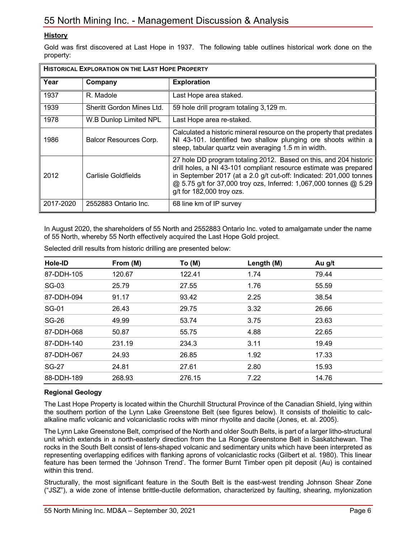# **History**

Gold was first discovered at Last Hope in 1937. The following table outlines historical work done on the property:

| <b>HISTORICAL EXPLORATION ON THE LAST HOPE PROPERTY</b> |                           |                                                                                                                                                                                                                                                                                                                |  |  |
|---------------------------------------------------------|---------------------------|----------------------------------------------------------------------------------------------------------------------------------------------------------------------------------------------------------------------------------------------------------------------------------------------------------------|--|--|
| Year                                                    | Company                   | <b>Exploration</b>                                                                                                                                                                                                                                                                                             |  |  |
| 1937                                                    | R. Madole                 | Last Hope area staked.                                                                                                                                                                                                                                                                                         |  |  |
| 1939                                                    | Sheritt Gordon Mines Ltd. | 59 hole drill program totaling 3,129 m.                                                                                                                                                                                                                                                                        |  |  |
| 1978                                                    | W.B Dunlop Limited NPL    | Last Hope area re-staked.                                                                                                                                                                                                                                                                                      |  |  |
| 1986                                                    | Balcor Resources Corp.    | Calculated a historic mineral resource on the property that predates<br>NI 43-101. Identified two shallow plunging ore shoots within a<br>steep, tabular quartz vein averaging 1.5 m in width.                                                                                                                 |  |  |
| 2012                                                    | Carlisle Goldfields       | 27 hole DD program totaling 2012. Based on this, and 204 historic<br>drill holes, a NI 43-101 compliant resource estimate was prepared<br>in September 2017 (at a 2.0 g/t cut-off: Indicated: 201,000 tonnes<br>@ 5.75 g/t for 37,000 troy ozs, Inferred: 1,067,000 tonnes @ 5.29<br>g/t for 182,000 troy ozs. |  |  |
| 2017-2020                                               | 2552883 Ontario Inc.      | 68 line km of IP survey                                                                                                                                                                                                                                                                                        |  |  |

In August 2020, the shareholders of 55 North and 2552883 Ontario Inc. voted to amalgamate under the name of 55 North, whereby 55 North effectively acquired the Last Hope Gold project.

| Hole-ID      | From (M) | To (M) | Length (M) | Au g/t |
|--------------|----------|--------|------------|--------|
| 87-DDH-105   | 120.67   | 122.41 | 1.74       | 79.44  |
| SG-03        | 25.79    | 27.55  | 1.76       | 55.59  |
| 87-DDH-094   | 91.17    | 93.42  | 2.25       | 38.54  |
| <b>SG-01</b> | 26.43    | 29.75  | 3.32       | 26.66  |
| SG-26        | 49.99    | 53.74  | 3.75       | 23.63  |
| 87-DDH-068   | 50.87    | 55.75  | 4.88       | 22.65  |
| 87-DDH-140   | 231.19   | 234.3  | 3.11       | 19.49  |
| 87-DDH-067   | 24.93    | 26.85  | 1.92       | 17.33  |
| <b>SG-27</b> | 24.81    | 27.61  | 2.80       | 15.93  |
| 88-DDH-189   | 268.93   | 276.15 | 7.22       | 14.76  |

Selected drill results from historic drilling are presented below:

# **Regional Geology**

The Last Hope Property is located within the Churchill Structural Province of the Canadian Shield, lying within the southern portion of the Lynn Lake Greenstone Belt (see figures below). It consists of tholeiitic to calcalkaline mafic volcanic and volcaniclastic rocks with minor rhyolite and dacite (Jones, et. al. 2005).

The Lynn Lake Greenstone Belt, comprised of the North and older South Belts, is part of a larger litho-structural unit which extends in a north-easterly direction from the La Ronge Greenstone Belt in Saskatchewan. The rocks in the South Belt consist of lens-shaped volcanic and sedimentary units which have been interpreted as representing overlapping edifices with flanking aprons of volcaniclastic rocks (Gilbert et al. 1980). This linear feature has been termed the 'Johnson Trend'. The former Burnt Timber open pit deposit (Au) is contained within this trend.

Structurally, the most significant feature in the South Belt is the east-west trending Johnson Shear Zone ("JSZ"), a wide zone of intense brittle-ductile deformation, characterized by faulting, shearing, mylonization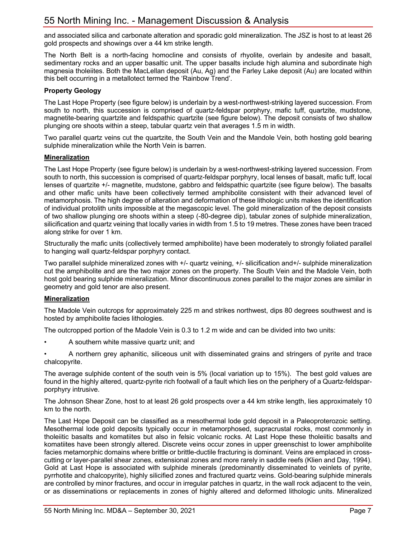and associated silica and carbonate alteration and sporadic gold mineralization. The JSZ is host to at least 26 gold prospects and showings over a 44 km strike length.

The North Belt is a north-facing homocline and consists of rhyolite, overlain by andesite and basalt, sedimentary rocks and an upper basaltic unit. The upper basalts include high alumina and subordinate high magnesia tholeiites. Both the MacLellan deposit (Au, Ag) and the Farley Lake deposit (Au) are located within this belt occurring in a metallotect termed the 'Rainbow Trend'.

### **Property Geology**

The Last Hope Property (see figure below) is underlain by a west-northwest-striking layered succession. From south to north, this succession is comprised of quartz-feldspar porphyry, mafic tuff, quartzite, mudstone, magnetite-bearing quartzite and feldspathic quartzite (see figure below). The deposit consists of two shallow plunging ore shoots within a steep, tabular quartz vein that averages 1.5 m in width.

Two parallel quartz veins cut the quartzite, the South Vein and the Mandole Vein, both hosting gold bearing sulphide mineralization while the North Vein is barren.

#### **Mineralization**

The Last Hope Property (see figure below) is underlain by a west-northwest-striking layered succession. From south to north, this succession is comprised of quartz-feldspar porphyry, local lenses of basalt, mafic tuff, local lenses of quartzite +/- magnetite, mudstone, gabbro and feldspathic quartzite (see figure below). The basalts and other mafic units have been collectively termed amphibolite consistent with their advanced level of metamorphosis. The high degree of alteration and deformation of these lithologic units makes the identification of individual protolith units impossible at the megascopic level. The gold mineralization of the deposit consists of two shallow plunging ore shoots within a steep (-80-degree dip), tabular zones of sulphide mineralization, silicification and quartz veining that locally varies in width from 1.5 to 19 metres. These zones have been traced along strike for over 1 km.

Structurally the mafic units (collectively termed amphibolite) have been moderately to strongly foliated parallel to hanging wall quartz-feldspar porphyry contact.

Two parallel sulphide mineralized zones with +/- quartz veining, +/- silicification and+/- sulphide mineralization cut the amphibolite and are the two major zones on the property. The South Vein and the Madole Vein, both host gold bearing sulphide mineralization. Minor discontinuous zones parallel to the major zones are similar in geometry and gold tenor are also present.

# **Mineralization**

The Madole Vein outcrops for approximately 225 m and strikes northwest, dips 80 degrees southwest and is hosted by amphibolite facies lithologies.

The outcropped portion of the Madole Vein is 0.3 to 1.2 m wide and can be divided into two units:

• A southern white massive quartz unit; and

• A northern grey aphanitic, siliceous unit with disseminated grains and stringers of pyrite and trace chalcopyrite.

The average sulphide content of the south vein is 5% (local variation up to 15%). The best gold values are found in the highly altered, quartz-pyrite rich footwall of a fault which lies on the periphery of a Quartz-feldsparporphyry intrusive.

The Johnson Shear Zone, host to at least 26 gold prospects over a 44 km strike length, lies approximately 10 km to the north.

The Last Hope Deposit can be classified as a mesothermal lode gold deposit in a Paleoproterozoic setting. Mesothermal lode gold deposits typically occur in metamorphosed, supracrustal rocks, most commonly in tholeiitic basalts and komatiites but also in felsic volcanic rocks. At Last Hope these tholeiitic basalts and komatiites have been strongly altered. Discrete veins occur zones in upper greenschist to lower amphibolite facies metamorphic domains where brittle or brittle-ductile fracturing is dominant. Veins are emplaced in crosscutting or layer-parallel shear zones, extensional zones and more rarely in saddle reefs (Klien and Day, 1994). Gold at Last Hope is associated with sulphide minerals (predominantly disseminated to veinlets of pyrite, pyrrhotite and chalcopyrite), highly silicified zones and fractured quartz veins. Gold-bearing sulphide minerals are controlled by minor fractures, and occur in irregular patches in quartz, in the wall rock adjacent to the vein, or as disseminations or replacements in zones of highly altered and deformed lithologic units. Mineralized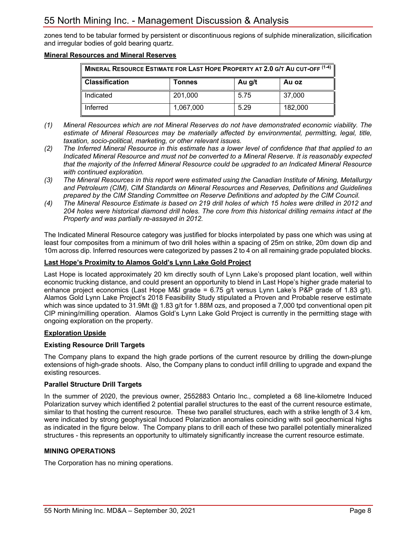zones tend to be tabular formed by persistent or discontinuous regions of sulphide mineralization, silicification and irregular bodies of gold bearing quartz.

#### **Mineral Resources and Mineral Reserves**

| MINERAL RESOURCE ESTIMATE FOR LAST HOPE PROPERTY AT 2.0 G/T AU CUT-OFF (1-4) |           |      |         |  |  |  |
|------------------------------------------------------------------------------|-----------|------|---------|--|--|--|
| <b>Classification</b><br>Au g/t<br>Au oz<br>Tonnes                           |           |      |         |  |  |  |
| Indicated                                                                    | 201,000   | 5.75 | 37,000  |  |  |  |
| Inferred                                                                     | 1,067,000 | 5.29 | 182,000 |  |  |  |

- *(1) Mineral Resources which are not Mineral Reserves do not have demonstrated economic viability. The estimate of Mineral Resources may be materially affected by environmental, permitting, legal, title, taxation, socio-political, marketing, or other relevant issues.*
- *(2) The Inferred Mineral Resource in this estimate has a lower level of confidence that that applied to an Indicated Mineral Resource and must not be converted to a Mineral Reserve. It is reasonably expected that the majority of the Inferred Mineral Resource could be upgraded to an Indicated Mineral Resource with continued exploration.*
- *(3) The Mineral Resources in this report were estimated using the Canadian Institute of Mining, Metallurgy and Petroleum (CIM), CIM Standards on Mineral Resources and Reserves, Definitions and Guidelines prepared by the CIM Standing Committee on Reserve Definitions and adopted by the CIM Council.*
- *(4) The Mineral Resource Estimate is based on 219 drill holes of which 15 holes were drilled in 2012 and 204 holes were historical diamond drill holes. The core from this historical drilling remains intact at the Property and was partially re-assayed in 2012.*

The Indicated Mineral Resource category was justified for blocks interpolated by pass one which was using at least four composites from a minimum of two drill holes within a spacing of 25m on strike, 20m down dip and 10m across dip. Inferred resources were categorized by passes 2 to 4 on all remaining grade populated blocks.

#### **Last Hope's Proximity to Alamos Gold's Lynn Lake Gold Project**

Last Hope is located approximately 20 km directly south of Lynn Lake's proposed plant location, well within economic trucking distance, and could present an opportunity to blend in Last Hope's higher grade material to enhance project economics (Last Hope M&I grade = 6.75 g/t versus Lynn Lake's P&P grade of 1.83 g/t). Alamos Gold Lynn Lake Project's 2018 Feasibility Study stipulated a Proven and Probable reserve estimate which was since updated to 31.9Mt  $@$  1.83 g/t for 1.88M ozs, and proposed a 7,000 tpd conventional open pit CIP mining/milling operation. Alamos Gold's Lynn Lake Gold Project is currently in the permitting stage with ongoing exploration on the property.

# **Exploration Upside**

#### **Existing Resource Drill Targets**

The Company plans to expand the high grade portions of the current resource by drilling the down-plunge extensions of high-grade shoots. Also, the Company plans to conduct infill drilling to upgrade and expand the existing resources.

#### **Parallel Structure Drill Targets**

In the summer of 2020, the previous owner, 2552883 Ontario Inc., completed a 68 line-kilometre Induced Polarization survey which identified 2 potential parallel structures to the east of the current resource estimate, similar to that hosting the current resource. These two parallel structures, each with a strike length of 3.4 km, were indicated by strong geophysical Induced Polarization anomalies coinciding with soil geochemical highs as indicated in the figure below. The Company plans to drill each of these two parallel potentially mineralized structures - this represents an opportunity to ultimately significantly increase the current resource estimate.

#### **MINING OPERATIONS**

The Corporation has no mining operations.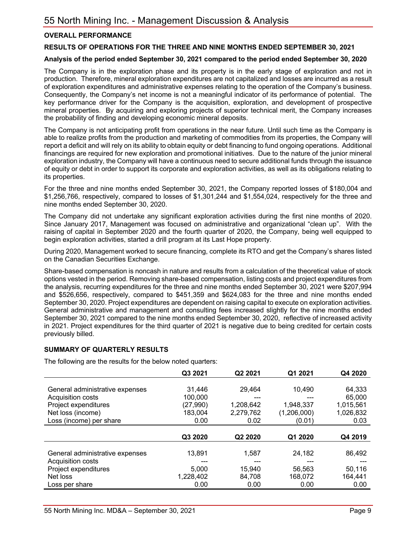### **OVERALL PERFORMANCE**

#### **RESULTS OF OPERATIONS FOR THE THREE AND NINE MONTHS ENDED SEPTEMBER 30, 2021**

#### **Analysis of the period ended September 30, 2021 compared to the period ended September 30, 2020**

The Company is in the exploration phase and its property is in the early stage of exploration and not in production. Therefore, mineral exploration expenditures are not capitalized and losses are incurred as a result of exploration expenditures and administrative expenses relating to the operation of the Company's business. Consequently, the Company's net income is not a meaningful indicator of its performance of potential. The key performance driver for the Company is the acquisition, exploration, and development of prospective mineral properties. By acquiring and exploring projects of superior technical merit, the Company increases the probability of finding and developing economic mineral deposits.

The Company is not anticipating profit from operations in the near future. Until such time as the Company is able to realize profits from the production and marketing of commodities from its properties, the Company will report a deficit and will rely on its ability to obtain equity or debt financing to fund ongoing operations. Additional financings are required for new exploration and promotional initiatives. Due to the nature of the junior mineral exploration industry, the Company will have a continuous need to secure additional funds through the issuance of equity or debt in order to support its corporate and exploration activities, as well as its obligations relating to its properties.

For the three and nine months ended September 30, 2021, the Company reported losses of \$180,004 and \$1,256,766, respectively, compared to losses of \$1,301,244 and \$1,554,024, respectively for the three and nine months ended September 30, 2020.

The Company did not undertake any significant exploration activities during the first nine months of 2020. Since January 2017, Management was focused on administrative and organizational "clean up". With the raising of capital in September 2020 and the fourth quarter of 2020, the Company, being well equipped to begin exploration activities, started a drill program at its Last Hope property.

During 2020, Management worked to secure financing, complete its RTO and get the Company's shares listed on the Canadian Securities Exchange.

Share-based compensation is noncash in nature and results from a calculation of the theoretical value of stock options vested in the period. Removing share-based compensation, listing costs and project expenditures from the analysis, recurring expenditures for the three and nine months ended September 30, 2021 were \$207,994 and \$526,656, respectively, compared to \$451,359 and \$624,083 for the three and nine months ended September 30, 2020. Project expenditures are dependent on raising capital to execute on exploration activities. General administrative and management and consulting fees increased slightly for the nine months ended September 30, 2021 compared to the nine months ended September 30, 2020, reflective of increased activity in 2021. Project expenditures for the third quarter of 2021 is negative due to being credited for certain costs previously billed.

#### **SUMMARY OF QUARTERLY RESULTS**

The following are the results for the below noted quarters:

|                                 | Q3 2021   | Q2 2021   | Q1 2021     | Q4 2020   |
|---------------------------------|-----------|-----------|-------------|-----------|
|                                 |           |           |             |           |
| General administrative expenses | 31.446    | 29,464    | 10,490      | 64,333    |
| Acquisition costs               | 100,000   |           |             | 65,000    |
| Project expenditures            | (27,990)  | 1,208,642 | 1,948,337   | 1,015,561 |
| Net loss (income)               | 183,004   | 2.279.762 | (1,206,000) | 1,026,832 |
| Loss (income) per share         | 0.00      | 0.02      | (0.01)      | 0.03      |
|                                 |           |           |             |           |
|                                 | Q3 2020   | Q2 2020   | Q1 2020     | Q4 2019   |
|                                 |           |           |             |           |
| General administrative expenses | 13,891    | 1,587     | 24,182      | 86,492    |
| Acquisition costs               |           |           |             |           |
|                                 |           |           |             |           |
| Project expenditures            | 5,000     | 15,940    | 56,563      | 50,116    |
| Net loss                        | 1,228,402 | 84,708    | 168,072     | 164,441   |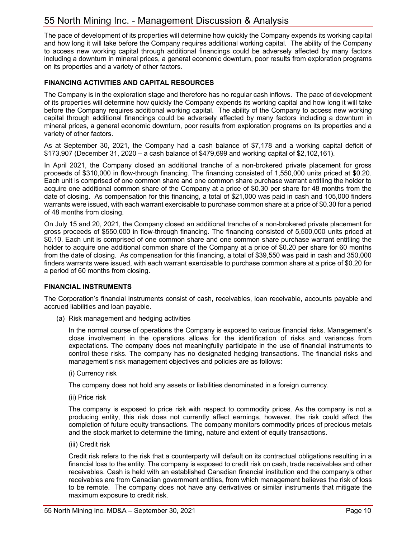The pace of development of its properties will determine how quickly the Company expends its working capital and how long it will take before the Company requires additional working capital. The ability of the Company to access new working capital through additional financings could be adversely affected by many factors including a downturn in mineral prices, a general economic downturn, poor results from exploration programs on its properties and a variety of other factors.

## **FINANCING ACTIVITIES AND CAPITAL RESOURCES**

The Company is in the exploration stage and therefore has no regular cash inflows. The pace of development of its properties will determine how quickly the Company expends its working capital and how long it will take before the Company requires additional working capital. The ability of the Company to access new working capital through additional financings could be adversely affected by many factors including a downturn in mineral prices, a general economic downturn, poor results from exploration programs on its properties and a variety of other factors.

As at September 30, 2021, the Company had a cash balance of \$7,178 and a working capital deficit of \$173,907 (December 31, 2020 – a cash balance of \$479,699 and working capital of \$2,102,161).

In April 2021, the Company closed an additional tranche of a non-brokered private placement for gross proceeds of \$310,000 in flow-through financing. The financing consisted of 1,550,000 units priced at \$0.20. Each unit is comprised of one common share and one common share purchase warrant entitling the holder to acquire one additional common share of the Company at a price of \$0.30 per share for 48 months from the date of closing. As compensation for this financing, a total of \$21,000 was paid in cash and 105,000 finders warrants were issued, with each warrant exercisable to purchase common share at a price of \$0.30 for a period of 48 months from closing.

On July 15 and 20, 2021, the Company closed an additional tranche of a non-brokered private placement for gross proceeds of \$550,000 in flow-through financing. The financing consisted of 5,500,000 units priced at \$0.10. Each unit is comprised of one common share and one common share purchase warrant entitling the holder to acquire one additional common share of the Company at a price of \$0.20 per share for 60 months from the date of closing. As compensation for this financing, a total of \$39,550 was paid in cash and 350,000 finders warrants were issued, with each warrant exercisable to purchase common share at a price of \$0.20 for a period of 60 months from closing.

#### **FINANCIAL INSTRUMENTS**

The Corporation's financial instruments consist of cash, receivables, loan receivable, accounts payable and accrued liabilities and loan payable.

(a) Risk management and hedging activities

In the normal course of operations the Company is exposed to various financial risks. Management's close involvement in the operations allows for the identification of risks and variances from expectations. The company does not meaningfully participate in the use of financial instruments to control these risks. The company has no designated hedging transactions. The financial risks and management's risk management objectives and policies are as follows:

(i) Currency risk

The company does not hold any assets or liabilities denominated in a foreign currency.

(ii) Price risk

The company is exposed to price risk with respect to commodity prices. As the company is not a producing entity, this risk does not currently affect earnings, however, the risk could affect the completion of future equity transactions. The company monitors commodity prices of precious metals and the stock market to determine the timing, nature and extent of equity transactions.

(iii) Credit risk

Credit risk refers to the risk that a counterparty will default on its contractual obligations resulting in a financial loss to the entity. The company is exposed to credit risk on cash, trade receivables and other receivables. Cash is held with an established Canadian financial institution and the company's other receivables are from Canadian government entities, from which management believes the risk of loss to be remote. The company does not have any derivatives or similar instruments that mitigate the maximum exposure to credit risk.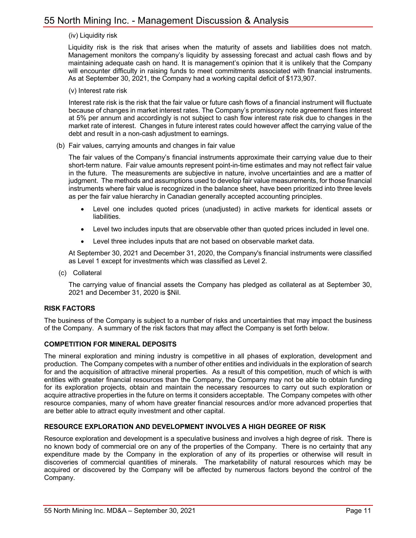#### (iv) Liquidity risk

Liquidity risk is the risk that arises when the maturity of assets and liabilities does not match. Management monitors the company's liquidity by assessing forecast and actual cash flows and by maintaining adequate cash on hand. It is management's opinion that it is unlikely that the Company will encounter difficulty in raising funds to meet commitments associated with financial instruments. As at September 30, 2021, the Company had a working capital deficit of \$173,907.

(v) Interest rate risk

Interest rate risk is the risk that the fair value or future cash flows of a financial instrument will fluctuate because of changes in market interest rates. The Company's promissory note agreement fixes interest at 5% per annum and accordingly is not subject to cash flow interest rate risk due to changes in the market rate of interest. Changes in future interest rates could however affect the carrying value of the debt and result in a non-cash adjustment to earnings.

(b) Fair values, carrying amounts and changes in fair value

The fair values of the Company's financial instruments approximate their carrying value due to their short-term nature. Fair value amounts represent point-in-time estimates and may not reflect fair value in the future. The measurements are subjective in nature, involve uncertainties and are a matter of judgment. The methods and assumptions used to develop fair value measurements, for those financial instruments where fair value is recognized in the balance sheet, have been prioritized into three levels as per the fair value hierarchy in Canadian generally accepted accounting principles.

- Level one includes quoted prices (unadjusted) in active markets for identical assets or liabilities.
- Level two includes inputs that are observable other than quoted prices included in level one.
- Level three includes inputs that are not based on observable market data.

At September 30, 2021 and December 31, 2020, the Company's financial instruments were classified as Level 1 except for investments which was classified as Level 2.

(c) Collateral

The carrying value of financial assets the Company has pledged as collateral as at September 30, 2021 and December 31, 2020 is \$Nil.

#### **RISK FACTORS**

The business of the Company is subject to a number of risks and uncertainties that may impact the business of the Company. A summary of the risk factors that may affect the Company is set forth below.

#### **COMPETITION FOR MINERAL DEPOSITS**

The mineral exploration and mining industry is competitive in all phases of exploration, development and production. The Company competes with a number of other entities and individuals in the exploration of search for and the acquisition of attractive mineral properties. As a result of this competition, much of which is with entities with greater financial resources than the Company, the Company may not be able to obtain funding for its exploration projects, obtain and maintain the necessary resources to carry out such exploration or acquire attractive properties in the future on terms it considers acceptable. The Company competes with other resource companies, many of whom have greater financial resources and/or more advanced properties that are better able to attract equity investment and other capital.

#### **RESOURCE EXPLORATION AND DEVELOPMENT INVOLVES A HIGH DEGREE OF RISK**

Resource exploration and development is a speculative business and involves a high degree of risk. There is no known body of commercial ore on any of the properties of the Company. There is no certainty that any expenditure made by the Company in the exploration of any of its properties or otherwise will result in discoveries of commercial quantities of minerals. The marketability of natural resources which may be acquired or discovered by the Company will be affected by numerous factors beyond the control of the Company.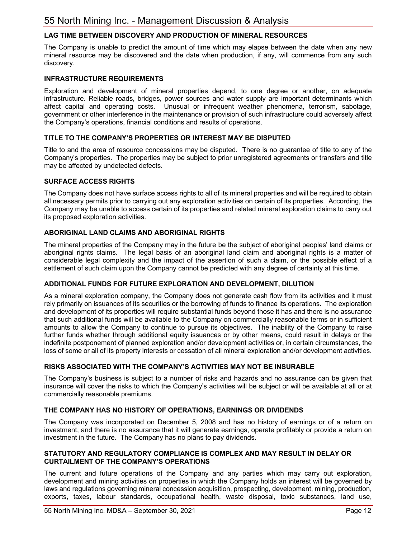# **LAG TIME BETWEEN DISCOVERY AND PRODUCTION OF MINERAL RESOURCES**

The Company is unable to predict the amount of time which may elapse between the date when any new mineral resource may be discovered and the date when production, if any, will commence from any such discovery.

#### **INFRASTRUCTURE REQUIREMENTS**

Exploration and development of mineral properties depend, to one degree or another, on adequate infrastructure. Reliable roads, bridges, power sources and water supply are important determinants which affect capital and operating costs. Unusual or infrequent weather phenomena, terrorism, sabotage, government or other interference in the maintenance or provision of such infrastructure could adversely affect the Company's operations, financial conditions and results of operations.

#### **TITLE TO THE COMPANY'S PROPERTIES OR INTEREST MAY BE DISPUTED**

Title to and the area of resource concessions may be disputed. There is no guarantee of title to any of the Company's properties. The properties may be subject to prior unregistered agreements or transfers and title may be affected by undetected defects.

#### **SURFACE ACCESS RIGHTS**

The Company does not have surface access rights to all of its mineral properties and will be required to obtain all necessary permits prior to carrying out any exploration activities on certain of its properties. According, the Company may be unable to access certain of its properties and related mineral exploration claims to carry out its proposed exploration activities.

#### **ABORIGINAL LAND CLAIMS AND ABORIGINAL RIGHTS**

The mineral properties of the Company may in the future be the subject of aboriginal peoples' land claims or aboriginal rights claims. The legal basis of an aboriginal land claim and aboriginal rights is a matter of considerable legal complexity and the impact of the assertion of such a claim, or the possible effect of a settlement of such claim upon the Company cannot be predicted with any degree of certainty at this time.

#### **ADDITIONAL FUNDS FOR FUTURE EXPLORATION AND DEVELOPMENT, DILUTION**

As a mineral exploration company, the Company does not generate cash flow from its activities and it must rely primarily on issuances of its securities or the borrowing of funds to finance its operations. The exploration and development of its properties will require substantial funds beyond those it has and there is no assurance that such additional funds will be available to the Company on commercially reasonable terms or in sufficient amounts to allow the Company to continue to pursue its objectives. The inability of the Company to raise further funds whether through additional equity issuances or by other means, could result in delays or the indefinite postponement of planned exploration and/or development activities or, in certain circumstances, the loss of some or all of its property interests or cessation of all mineral exploration and/or development activities.

#### **RISKS ASSOCIATED WITH THE COMPANY'S ACTIVITIES MAY NOT BE INSURABLE**

The Company's business is subject to a number of risks and hazards and no assurance can be given that insurance will cover the risks to which the Company's activities will be subject or will be available at all or at commercially reasonable premiums.

#### **THE COMPANY HAS NO HISTORY OF OPERATIONS, EARNINGS OR DIVIDENDS**

The Company was incorporated on December 5, 2008 and has no history of earnings or of a return on investment, and there is no assurance that it will generate earnings, operate profitably or provide a return on investment in the future. The Company has no plans to pay dividends.

#### **STATUTORY AND REGULATORY COMPLIANCE IS COMPLEX AND MAY RESULT IN DELAY OR CURTAILMENT OF THE COMPANY'S OPERATIONS**

The current and future operations of the Company and any parties which may carry out exploration, development and mining activities on properties in which the Company holds an interest will be governed by laws and regulations governing mineral concession acquisition, prospecting, development, mining, production, exports, taxes, labour standards, occupational health, waste disposal, toxic substances, land use,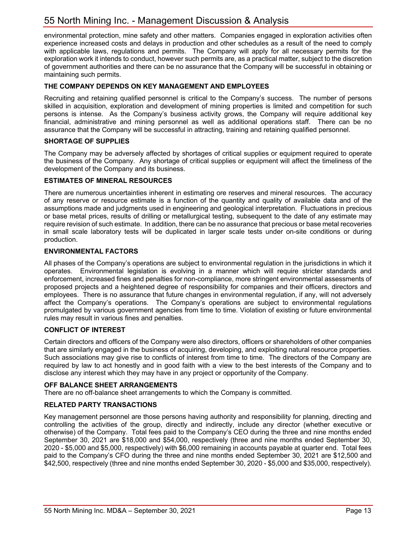environmental protection, mine safety and other matters. Companies engaged in exploration activities often experience increased costs and delays in production and other schedules as a result of the need to comply with applicable laws, regulations and permits. The Company will apply for all necessary permits for the exploration work it intends to conduct, however such permits are, as a practical matter, subject to the discretion of government authorities and there can be no assurance that the Company will be successful in obtaining or maintaining such permits.

### **THE COMPANY DEPENDS ON KEY MANAGEMENT AND EMPLOYEES**

Recruiting and retaining qualified personnel is critical to the Company's success. The number of persons skilled in acquisition, exploration and development of mining properties is limited and competition for such persons is intense. As the Company's business activity grows, the Company will require additional key financial, administrative and mining personnel as well as additional operations staff. There can be no assurance that the Company will be successful in attracting, training and retaining qualified personnel.

#### **SHORTAGE OF SUPPLIES**

The Company may be adversely affected by shortages of critical supplies or equipment required to operate the business of the Company. Any shortage of critical supplies or equipment will affect the timeliness of the development of the Company and its business.

#### **ESTIMATES OF MINERAL RESOURCES**

There are numerous uncertainties inherent in estimating ore reserves and mineral resources. The accuracy of any reserve or resource estimate is a function of the quantity and quality of available data and of the assumptions made and judgments used in engineering and geological interpretation. Fluctuations in precious or base metal prices, results of drilling or metallurgical testing, subsequent to the date of any estimate may require revision of such estimate. In addition, there can be no assurance that precious or base metal recoveries in small scale laboratory tests will be duplicated in larger scale tests under on-site conditions or during production.

#### **ENVIRONMENTAL FACTORS**

All phases of the Company's operations are subject to environmental regulation in the jurisdictions in which it operates. Environmental legislation is evolving in a manner which will require stricter standards and enforcement, increased fines and penalties for non-compliance, more stringent environmental assessments of proposed projects and a heightened degree of responsibility for companies and their officers, directors and employees. There is no assurance that future changes in environmental regulation, if any, will not adversely affect the Company's operations. The Company's operations are subject to environmental regulations promulgated by various government agencies from time to time. Violation of existing or future environmental rules may result in various fines and penalties.

#### **CONFLICT OF INTEREST**

Certain directors and officers of the Company were also directors, officers or shareholders of other companies that are similarly engaged in the business of acquiring, developing, and exploiting natural resource properties. Such associations may give rise to conflicts of interest from time to time. The directors of the Company are required by law to act honestly and in good faith with a view to the best interests of the Company and to disclose any interest which they may have in any project or opportunity of the Company.

#### **OFF BALANCE SHEET ARRANGEMENTS**

There are no off-balance sheet arrangements to which the Company is committed.

#### **RELATED PARTY TRANSACTIONS**

Key management personnel are those persons having authority and responsibility for planning, directing and controlling the activities of the group, directly and indirectly, include any director (whether executive or otherwise) of the Company. Total fees paid to the Company's CEO during the three and nine months ended September 30, 2021 are \$18,000 and \$54,000, respectively (three and nine months ended September 30, 2020 - \$5,000 and \$5,000, respectively) with \$6,000 remaining in accounts payable at quarter end. Total fees paid to the Company's CFO during the three and nine months ended September 30, 2021 are \$12,500 and \$42,500, respectively (three and nine months ended September 30, 2020 - \$5,000 and \$35,000, respectively).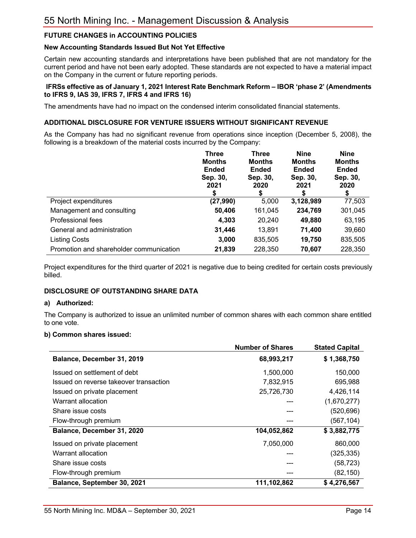# **FUTURE CHANGES in ACCOUNTING POLICIES**

#### **New Accounting Standards Issued But Not Yet Effective**

Certain new accounting standards and interpretations have been published that are not mandatory for the current period and have not been early adopted. These standards are not expected to have a material impact on the Company in the current or future reporting periods.

#### **IFRSs effective as of January 1, 2021 Interest Rate Benchmark Reform – IBOR 'phase 2' (Amendments to IFRS 9, IAS 39, IFRS 7, IFRS 4 and IFRS 16)**

The amendments have had no impact on the condensed interim consolidated financial statements.

#### **ADDITIONAL DISCLOSURE FOR VENTURE ISSUERS WITHOUT SIGNIFICANT REVENUE**

As the Company has had no significant revenue from operations since inception (December 5, 2008), the following is a breakdown of the material costs incurred by the Company:

|                                         | <b>Three</b><br><b>Months</b><br><b>Ended</b><br>Sep. 30,<br>2021<br>\$ | <b>Three</b><br><b>Months</b><br><b>Ended</b><br>Sep. 30,<br>2020<br>\$ | <b>Nine</b><br><b>Months</b><br><b>Ended</b><br>Sep. 30,<br>2021<br>S | <b>Nine</b><br><b>Months</b><br><b>Ended</b><br>Sep. 30,<br>2020<br>\$ |
|-----------------------------------------|-------------------------------------------------------------------------|-------------------------------------------------------------------------|-----------------------------------------------------------------------|------------------------------------------------------------------------|
| Project expenditures                    | (27, 990)                                                               | 5,000                                                                   | 3,128,989                                                             | 77,503                                                                 |
| Management and consulting               | 50,406                                                                  | 161,045                                                                 | 234,769                                                               | 301,045                                                                |
| Professional fees                       | 4,303                                                                   | 20,240                                                                  | 49,880                                                                | 63,195                                                                 |
| General and administration              | 31,446                                                                  | 13,891                                                                  | 71,400                                                                | 39,660                                                                 |
| <b>Listing Costs</b>                    | 3,000                                                                   | 835,505                                                                 | 19,750                                                                | 835,505                                                                |
| Promotion and shareholder communication | 21,839                                                                  | 228,350                                                                 | 70,607                                                                | 228,350                                                                |

Project expenditures for the third quarter of 2021 is negative due to being credited for certain costs previously billed.

# **DISCLOSURE OF OUTSTANDING SHARE DATA**

#### **a) Authorized:**

The Company is authorized to issue an unlimited number of common shares with each common share entitled to one vote.

#### **b) Common shares issued:**

|                                        | <b>Number of Shares</b> | <b>Stated Capital</b> |
|----------------------------------------|-------------------------|-----------------------|
| Balance, December 31, 2019             | 68,993,217              | \$1,368,750           |
| Issued on settlement of debt           | 1,500,000               | 150,000               |
| Issued on reverse takeover transaction | 7,832,915               | 695,988               |
| Issued on private placement            | 25,726,730              | 4,426,114             |
| Warrant allocation                     |                         | (1,670,277)           |
| Share issue costs                      |                         | (520, 696)            |
| Flow-through premium                   |                         | (567, 104)            |
| Balance, December 31, 2020             | 104,052,862             | \$3,882,775           |
| Issued on private placement            | 7,050,000               | 860,000               |
| Warrant allocation                     |                         | (325, 335)            |
| Share issue costs                      |                         | (58,723)              |
| Flow-through premium                   |                         | (82, 150)             |
| Balance, September 30, 2021            | 111,102,862             | \$4,276,567           |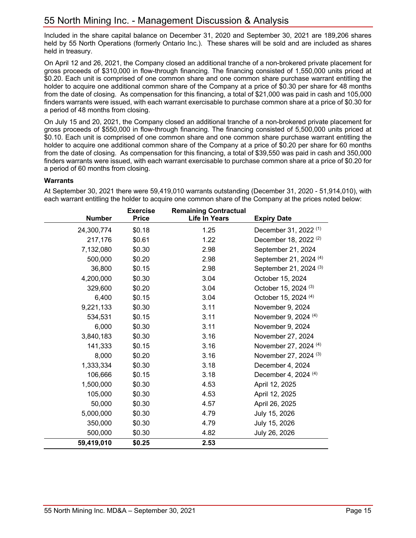Included in the share capital balance on December 31, 2020 and September 30, 2021 are 189,206 shares held by 55 North Operations (formerly Ontario Inc.). These shares will be sold and are included as shares held in treasury.

On April 12 and 26, 2021, the Company closed an additional tranche of a non-brokered private placement for gross proceeds of \$310,000 in flow-through financing. The financing consisted of 1,550,000 units priced at \$0.20. Each unit is comprised of one common share and one common share purchase warrant entitling the holder to acquire one additional common share of the Company at a price of \$0.30 per share for 48 months from the date of closing. As compensation for this financing, a total of \$21,000 was paid in cash and 105,000 finders warrants were issued, with each warrant exercisable to purchase common share at a price of \$0.30 for a period of 48 months from closing.

On July 15 and 20, 2021, the Company closed an additional tranche of a non-brokered private placement for gross proceeds of \$550,000 in flow-through financing. The financing consisted of 5,500,000 units priced at \$0.10. Each unit is comprised of one common share and one common share purchase warrant entitling the holder to acquire one additional common share of the Company at a price of \$0.20 per share for 60 months from the date of closing. As compensation for this financing, a total of \$39,550 was paid in cash and 350,000 finders warrants were issued, with each warrant exercisable to purchase common share at a price of \$0.20 for a period of 60 months from closing.

#### **Warrants**

At September 30, 2021 there were 59,419,010 warrants outstanding (December 31, 2020 - 51,914,010), with each warrant entitling the holder to acquire one common share of the Company at the prices noted below:

|               | <b>Exercise</b> | <b>Remaining Contractual</b> |                                   |
|---------------|-----------------|------------------------------|-----------------------------------|
| <b>Number</b> | <b>Price</b>    | <b>Life In Years</b>         | <b>Expiry Date</b>                |
| 24,300,774    | \$0.18          | 1.25                         | December 31, 2022 <sup>(1)</sup>  |
| 217,176       | \$0.61          | 1.22                         | December 18, 2022 <sup>(2)</sup>  |
| 7,132,080     | \$0.30          | 2.98                         | September 21, 2024                |
| 500,000       | \$0.20          | 2.98                         | September 21, 2024 <sup>(4)</sup> |
| 36,800        | \$0.15          | 2.98                         | September 21, 2024 (3)            |
| 4,200,000     | \$0.30          | 3.04                         | October 15, 2024                  |
| 329,600       | \$0.20          | 3.04                         | October 15, 2024 <sup>(3)</sup>   |
| 6,400         | \$0.15          | 3.04                         | October 15, 2024 (4)              |
| 9,221,133     | \$0.30          | 3.11                         | November 9, 2024                  |
| 534,531       | \$0.15          | 3.11                         | November 9, 2024 (4)              |
| 6,000         | \$0.30          | 3.11                         | November 9, 2024                  |
| 3,840,183     | \$0.30          | 3.16                         | November 27, 2024                 |
| 141,333       | \$0.15          | 3.16                         | November 27, 2024 (4)             |
| 8,000         | \$0.20          | 3.16                         | November 27, 2024 <sup>(3)</sup>  |
| 1,333,334     | \$0.30          | 3.18                         | December 4, 2024                  |
| 106,666       | \$0.15          | 3.18                         | December 4, 2024 <sup>(4)</sup>   |
| 1,500,000     | \$0.30          | 4.53                         | April 12, 2025                    |
| 105,000       | \$0.30          | 4.53                         | April 12, 2025                    |
| 50,000        | \$0.30          | 4.57                         | April 26, 2025                    |
| 5,000,000     | \$0.30          | 4.79                         | July 15, 2026                     |
| 350,000       | \$0.30          | 4.79                         | July 15, 2026                     |
| 500,000       | \$0.30          | 4.82                         | July 26, 2026                     |
| 59,419,010    | \$0.25          | 2.53                         |                                   |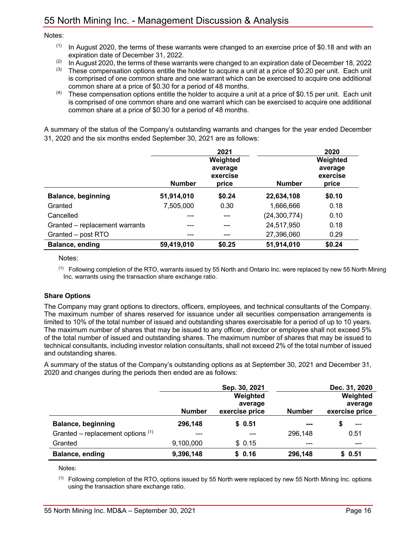#### Notes:

- $(1)$  In August 2020, the terms of these warrants were changed to an exercise price of \$0.18 and with an expiration date of December 31, 2022.
- $(2)$  In August 2020, the terms of these warrants were changed to an expiration date of December 18, 2022
- $(3)$  These compensation options entitle the holder to acquire a unit at a price of \$0.20 per unit. Each unit is comprised of one common share and one warrant which can be exercised to acquire one additional common share at a price of \$0.30 for a period of 48 months.
- $(4)$  These compensation options entitle the holder to acquire a unit at a price of \$0.15 per unit. Each unit is comprised of one common share and one warrant which can be exercised to acquire one additional common share at a price of \$0.30 for a period of 48 months.

A summary of the status of the Company's outstanding warrants and changes for the year ended December 31, 2020 and the six months ended September 30, 2021 are as follows:

|                                |               | 2021                |                | 2020                |
|--------------------------------|---------------|---------------------|----------------|---------------------|
|                                |               | Weighted<br>average |                | Weighted<br>average |
|                                | <b>Number</b> | exercise<br>price   | <b>Number</b>  | exercise<br>price   |
| <b>Balance, beginning</b>      | 51,914,010    | \$0.24              | 22,634,108     | \$0.10              |
| Granted                        | 7,505,000     | 0.30                | 1,666,666      | 0.18                |
| Cancelled                      | ---           |                     | (24, 300, 774) | 0.10                |
| Granted – replacement warrants | ---           | ---                 | 24,517,950     | 0.18                |
| Granted - post RTO             | ---           |                     | 27,396,060     | 0.29                |
| Balance, ending                | 59,419,010    | \$0.25              | 51,914,010     | \$0.24              |

Notes:

 $<sup>(1)</sup>$  Following completion of the RTO, warrants issued by 55 North and Ontario Inc. were replaced by new 55 North Mining</sup> Inc. warrants using the transaction share exchange ratio.

#### **Share Options**

The Company may grant options to directors, officers, employees, and technical consultants of the Company. The maximum number of shares reserved for issuance under all securities compensation arrangements is limited to 10% of the total number of issued and outstanding shares exercisable for a period of up to 10 years. The maximum number of shares that may be issued to any officer, director or employee shall not exceed 5% of the total number of issued and outstanding shares. The maximum number of shares that may be issued to technical consultants, including investor relation consultants, shall not exceed 2% of the total number of issued and outstanding shares.

A summary of the status of the Company's outstanding options as at September 30, 2021 and December 31, 2020 and changes during the periods then ended are as follows:

|                                     |               | Sep. 30, 2021  |               | Dec. 31, 2020  |
|-------------------------------------|---------------|----------------|---------------|----------------|
|                                     |               | Weighted       |               | Weighted       |
|                                     |               | average        |               | average        |
|                                     | <b>Number</b> | exercise price | <b>Number</b> | exercise price |
| <b>Balance, beginning</b>           | 296,148       | \$0.51         | ---           | $---$          |
| Granted – replacement options $(1)$ | ---           |                | 296,148       | 0.51           |
| Granted                             | 9,100,000     | \$0.15         |               | ---            |
| Balance, ending                     | 9,396,148     | \$0.16         | 296,148       | \$0.51         |

Notes:

 $<sup>(1)</sup>$  Following completion of the RTO, options issued by 55 North were replaced by new 55 North Mining Inc. options</sup> using the transaction share exchange ratio.